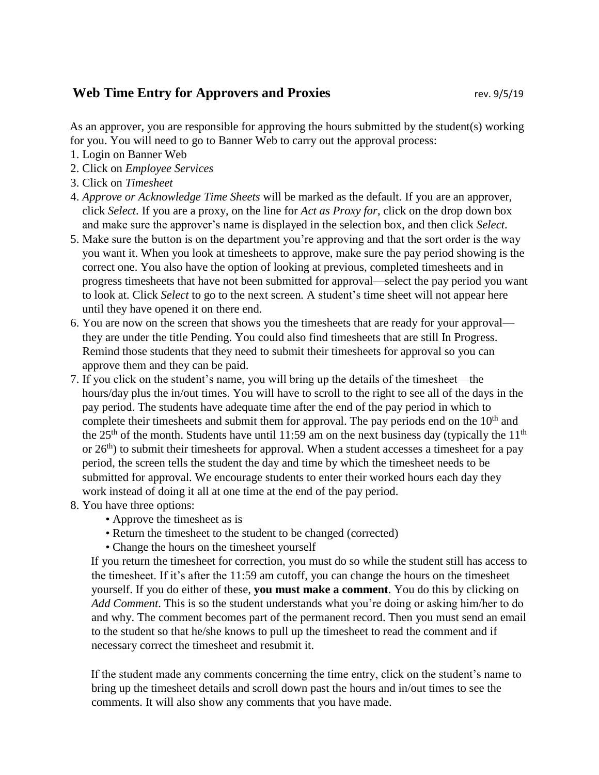## **Web Time Entry for Approvers and Proxies rev. 9/5/19**

As an approver, you are responsible for approving the hours submitted by the student(s) working for you. You will need to go to Banner Web to carry out the approval process:

- 1. Login on Banner Web
- 2. Click on *Employee Services*
- 3. Click on *Timesheet*
- 4. *Approve or Acknowledge Time Sheets* will be marked as the default. If you are an approver, click *Select*. If you are a proxy, on the line for *Act as Proxy for*, click on the drop down box and make sure the approver's name is displayed in the selection box, and then click *Select*.
- 5. Make sure the button is on the department you're approving and that the sort order is the way you want it. When you look at timesheets to approve, make sure the pay period showing is the correct one. You also have the option of looking at previous, completed timesheets and in progress timesheets that have not been submitted for approval—select the pay period you want to look at. Click *Select* to go to the next screen*.* A student's time sheet will not appear here until they have opened it on there end.
- 6. You are now on the screen that shows you the timesheets that are ready for your approval they are under the title Pending. You could also find timesheets that are still In Progress. Remind those students that they need to submit their timesheets for approval so you can approve them and they can be paid.
- 7. If you click on the student's name, you will bring up the details of the timesheet—the hours/day plus the in/out times. You will have to scroll to the right to see all of the days in the pay period. The students have adequate time after the end of the pay period in which to complete their timesheets and submit them for approval. The pay periods end on the  $10<sup>th</sup>$  and the 25<sup>th</sup> of the month. Students have until 11:59 am on the next business day (typically the 11<sup>th</sup>) or  $26<sup>th</sup>$ ) to submit their timesheets for approval. When a student accesses a timesheet for a pay period, the screen tells the student the day and time by which the timesheet needs to be submitted for approval. We encourage students to enter their worked hours each day they work instead of doing it all at one time at the end of the pay period.
- 8. You have three options:
	- Approve the timesheet as is
	- Return the timesheet to the student to be changed (corrected)
	- Change the hours on the timesheet yourself

If you return the timesheet for correction, you must do so while the student still has access to the timesheet. If it's after the 11:59 am cutoff, you can change the hours on the timesheet yourself. If you do either of these, **you must make a comment**. You do this by clicking on *Add Comment*. This is so the student understands what you're doing or asking him/her to do and why. The comment becomes part of the permanent record. Then you must send an email to the student so that he/she knows to pull up the timesheet to read the comment and if necessary correct the timesheet and resubmit it.

If the student made any comments concerning the time entry, click on the student's name to bring up the timesheet details and scroll down past the hours and in/out times to see the comments. It will also show any comments that you have made.